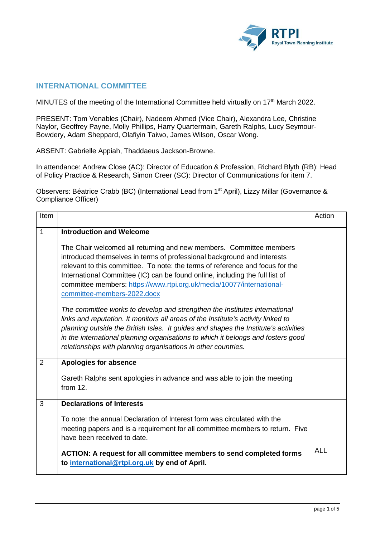

## **INTERNATIONAL COMMITTEE**

MINUTES of the meeting of the International Committee held virtually on 17<sup>th</sup> March 2022.

PRESENT: Tom Venables (Chair), Nadeem Ahmed (Vice Chair), Alexandra Lee, Christine Naylor, Geoffrey Payne, Molly Phillips, Harry Quartermain, Gareth Ralphs, Lucy Seymour-Bowdery, Adam Sheppard, Olafiyin Taiwo, James Wilson, Oscar Wong.

ABSENT: Gabrielle Appiah, Thaddaeus Jackson-Browne.

In attendance: Andrew Close (AC): Director of Education & Profession, Richard Blyth (RB): Head of Policy Practice & Research, Simon Creer (SC): Director of Communications for item 7.

Observers: Béatrice Crabb (BC) (International Lead from 1<sup>st</sup> April), Lizzy Millar (Governance & Compliance Officer)

| Item           |                                                                                                                                                                                                                                                                                                                                                                                                             | Action     |
|----------------|-------------------------------------------------------------------------------------------------------------------------------------------------------------------------------------------------------------------------------------------------------------------------------------------------------------------------------------------------------------------------------------------------------------|------------|
| 1              | <b>Introduction and Welcome</b><br>The Chair welcomed all returning and new members. Committee members<br>introduced themselves in terms of professional background and interests<br>relevant to this committee. To note: the terms of reference and focus for the<br>International Committee (IC) can be found online, including the full list of                                                          |            |
|                | committee members: https://www.rtpi.org.uk/media/10077/international-<br>committee-members-2022.docx                                                                                                                                                                                                                                                                                                        |            |
|                | The committee works to develop and strengthen the Institutes international<br>links and reputation. It monitors all areas of the Institute's activity linked to<br>planning outside the British Isles. It guides and shapes the Institute's activities<br>in the international planning organisations to which it belongs and fosters good<br>relationships with planning organisations in other countries. |            |
| $\overline{2}$ | <b>Apologies for absence</b><br>Gareth Ralphs sent apologies in advance and was able to join the meeting<br>from $12$ .                                                                                                                                                                                                                                                                                     |            |
| 3              | <b>Declarations of Interests</b><br>To note: the annual Declaration of Interest form was circulated with the                                                                                                                                                                                                                                                                                                |            |
|                | meeting papers and is a requirement for all committee members to return. Five<br>have been received to date.                                                                                                                                                                                                                                                                                                |            |
|                | ACTION: A request for all committee members to send completed forms<br>to international@rtpi.org.uk by end of April.                                                                                                                                                                                                                                                                                        | <b>ALL</b> |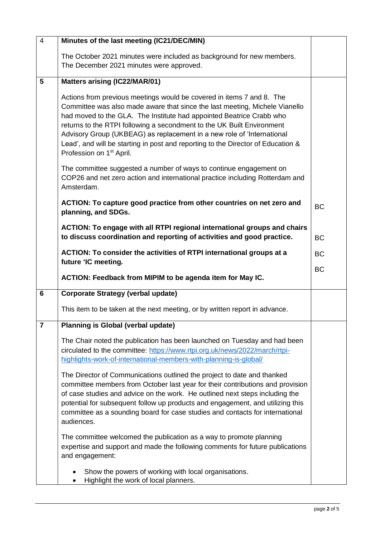| $\overline{4}$ | Minutes of the last meeting (IC21/DEC/MIN)                                                                                                                                                                                                                                                                                                                                                                                                                                                                   |           |
|----------------|--------------------------------------------------------------------------------------------------------------------------------------------------------------------------------------------------------------------------------------------------------------------------------------------------------------------------------------------------------------------------------------------------------------------------------------------------------------------------------------------------------------|-----------|
|                | The October 2021 minutes were included as background for new members.<br>The December 2021 minutes were approved.                                                                                                                                                                                                                                                                                                                                                                                            |           |
| 5              | <b>Matters arising (IC22/MAR/01)</b>                                                                                                                                                                                                                                                                                                                                                                                                                                                                         |           |
|                | Actions from previous meetings would be covered in items 7 and 8. The<br>Committee was also made aware that since the last meeting, Michele Vianello<br>had moved to the GLA. The Institute had appointed Beatrice Crabb who<br>returns to the RTPI following a secondment to the UK Built Environment<br>Advisory Group (UKBEAG) as replacement in a new role of 'International<br>Lead', and will be starting in post and reporting to the Director of Education &<br>Profession on 1 <sup>st</sup> April. |           |
|                | The committee suggested a number of ways to continue engagement on<br>COP26 and net zero action and international practice including Rotterdam and<br>Amsterdam.                                                                                                                                                                                                                                                                                                                                             |           |
|                | ACTION: To capture good practice from other countries on net zero and<br>planning, and SDGs.                                                                                                                                                                                                                                                                                                                                                                                                                 | <b>BC</b> |
|                | ACTION: To engage with all RTPI regional international groups and chairs<br>to discuss coordination and reporting of activities and good practice.                                                                                                                                                                                                                                                                                                                                                           | <b>BC</b> |
|                | ACTION: To consider the activities of RTPI international groups at a                                                                                                                                                                                                                                                                                                                                                                                                                                         | <b>BC</b> |
|                | future 'IC meeting.<br>ACTION: Feedback from MIPIM to be agenda item for May IC.                                                                                                                                                                                                                                                                                                                                                                                                                             | <b>BC</b> |
| 6              | <b>Corporate Strategy (verbal update)</b>                                                                                                                                                                                                                                                                                                                                                                                                                                                                    |           |
|                | This item to be taken at the next meeting, or by written report in advance.                                                                                                                                                                                                                                                                                                                                                                                                                                  |           |
| $\overline{7}$ | <b>Planning is Global (verbal update)</b>                                                                                                                                                                                                                                                                                                                                                                                                                                                                    |           |
|                | The Chair noted the publication has been launched on Tuesday and had been<br>circulated to the committee: https://www.rtpi.org.uk/news/2022/march/rtpi-<br>highlights-work-of-international-members-with-planning-is-global/                                                                                                                                                                                                                                                                                 |           |
|                | The Director of Communications outlined the project to date and thanked<br>committee members from October last year for their contributions and provision                                                                                                                                                                                                                                                                                                                                                    |           |
|                | of case studies and advice on the work. He outlined next steps including the<br>potential for subsequent follow up products and engagement, and utilizing this<br>committee as a sounding board for case studies and contacts for international<br>audiences.                                                                                                                                                                                                                                                |           |
|                | The committee welcomed the publication as a way to promote planning<br>expertise and support and made the following comments for future publications<br>and engagement:                                                                                                                                                                                                                                                                                                                                      |           |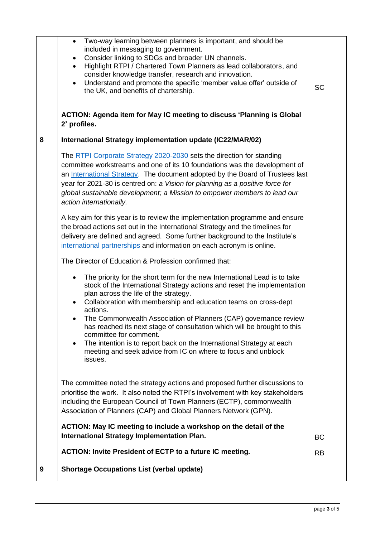|   | Two-way learning between planners is important, and should be<br>$\bullet$<br>included in messaging to government.<br>Consider linking to SDGs and broader UN channels.<br>$\bullet$<br>Highlight RTPI / Chartered Town Planners as lead collaborators, and<br>$\bullet$<br>consider knowledge transfer, research and innovation.<br>Understand and promote the specific 'member value offer' outside of<br>$\bullet$<br>the UK, and benefits of chartership.<br>ACTION: Agenda item for May IC meeting to discuss 'Planning is Global<br>2' profiles.                                                                                              | <b>SC</b> |
|---|-----------------------------------------------------------------------------------------------------------------------------------------------------------------------------------------------------------------------------------------------------------------------------------------------------------------------------------------------------------------------------------------------------------------------------------------------------------------------------------------------------------------------------------------------------------------------------------------------------------------------------------------------------|-----------|
| 8 | International Strategy implementation update (IC22/MAR/02)                                                                                                                                                                                                                                                                                                                                                                                                                                                                                                                                                                                          |           |
|   | The RTPI Corporate Strategy 2020-2030 sets the direction for standing<br>committee workstreams and one of its 10 foundations was the development of<br>an International Strategy. The document adopted by the Board of Trustees last<br>year for 2021-30 is centred on: a Vision for planning as a positive force for<br>global sustainable development; a Mission to empower members to lead our<br>action internationally.                                                                                                                                                                                                                        |           |
|   | A key aim for this year is to review the implementation programme and ensure<br>the broad actions set out in the International Strategy and the timelines for<br>delivery are defined and agreed. Some further background to the Institute's<br>international partnerships and information on each acronym is online.                                                                                                                                                                                                                                                                                                                               |           |
|   | The Director of Education & Profession confirmed that:                                                                                                                                                                                                                                                                                                                                                                                                                                                                                                                                                                                              |           |
|   | The priority for the short term for the new International Lead is to take<br>$\bullet$<br>stock of the International Strategy actions and reset the implementation<br>plan across the life of the strategy.<br>Collaboration with membership and education teams on cross-dept<br>$\bullet$<br>actions.<br>The Commonwealth Association of Planners (CAP) governance review<br>has reached its next stage of consultation which will be brought to this<br>committee for comment.<br>The intention is to report back on the International Strategy at each<br>$\bullet$<br>meeting and seek advice from IC on where to focus and unblock<br>issues. |           |
|   | The committee noted the strategy actions and proposed further discussions to<br>prioritise the work. It also noted the RTPI's involvement with key stakeholders<br>including the European Council of Town Planners (ECTP), commonwealth<br>Association of Planners (CAP) and Global Planners Network (GPN).<br>ACTION: May IC meeting to include a workshop on the detail of the                                                                                                                                                                                                                                                                    |           |
|   | <b>International Strategy Implementation Plan.</b>                                                                                                                                                                                                                                                                                                                                                                                                                                                                                                                                                                                                  | <b>BC</b> |
|   | <b>ACTION: Invite President of ECTP to a future IC meeting.</b>                                                                                                                                                                                                                                                                                                                                                                                                                                                                                                                                                                                     | <b>RB</b> |
| 9 | <b>Shortage Occupations List (verbal update)</b>                                                                                                                                                                                                                                                                                                                                                                                                                                                                                                                                                                                                    |           |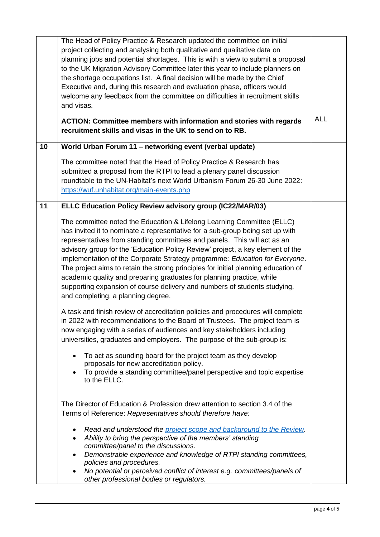|    | The Head of Policy Practice & Research updated the committee on initial<br>project collecting and analysing both qualitative and qualitative data on<br>planning jobs and potential shortages. This is with a view to submit a proposal<br>to the UK Migration Advisory Committee later this year to include planners on<br>the shortage occupations list. A final decision will be made by the Chief<br>Executive and, during this research and evaluation phase, officers would<br>welcome any feedback from the committee on difficulties in recruitment skills<br>and visas.                                                                                                       |            |
|----|----------------------------------------------------------------------------------------------------------------------------------------------------------------------------------------------------------------------------------------------------------------------------------------------------------------------------------------------------------------------------------------------------------------------------------------------------------------------------------------------------------------------------------------------------------------------------------------------------------------------------------------------------------------------------------------|------------|
|    | <b>ACTION: Committee members with information and stories with regards</b><br>recruitment skills and visas in the UK to send on to RB.                                                                                                                                                                                                                                                                                                                                                                                                                                                                                                                                                 | <b>ALL</b> |
| 10 | World Urban Forum 11 - networking event (verbal update)                                                                                                                                                                                                                                                                                                                                                                                                                                                                                                                                                                                                                                |            |
|    | The committee noted that the Head of Policy Practice & Research has<br>submitted a proposal from the RTPI to lead a plenary panel discussion<br>roundtable to the UN-Habitat's next World Urbanism Forum 26-30 June 2022:<br>https://wuf.unhabitat.org/main-events.php                                                                                                                                                                                                                                                                                                                                                                                                                 |            |
| 11 | <b>ELLC Education Policy Review advisory group (IC22/MAR/03)</b>                                                                                                                                                                                                                                                                                                                                                                                                                                                                                                                                                                                                                       |            |
|    | The committee noted the Education & Lifelong Learning Committee (ELLC)<br>has invited it to nominate a representative for a sub-group being set up with<br>representatives from standing committees and panels. This will act as an<br>advisory group for the 'Education Policy Review' project, a key element of the<br>implementation of the Corporate Strategy programme: Education for Everyone.<br>The project aims to retain the strong principles for initial planning education of<br>academic quality and preparing graduates for planning practice, while<br>supporting expansion of course delivery and numbers of students studying,<br>and completing, a planning degree. |            |
|    | A task and finish review of accreditation policies and procedures will complete<br>in 2022 with recommendations to the Board of Trustees. The project team is<br>now engaging with a series of audiences and key stakeholders including<br>universities, graduates and employers. The purpose of the sub-group is:<br>To act as sounding board for the project team as they develop<br>$\bullet$<br>proposals for new accreditation policy.<br>To provide a standing committee/panel perspective and topic expertise<br>$\bullet$<br>to the ELLC.                                                                                                                                      |            |
|    | The Director of Education & Profession drew attention to section 3.4 of the<br>Terms of Reference: Representatives should therefore have:<br>Read and understood the project scope and background to the Review.<br>٠<br>Ability to bring the perspective of the members' standing<br>$\bullet$<br>committee/panel to the discussions.<br>Demonstrable experience and knowledge of RTPI standing committees,<br>$\bullet$<br>policies and procedures.<br>No potential or perceived conflict of interest e.g. committees/panels of<br>other professional bodies or regulators.                                                                                                          |            |